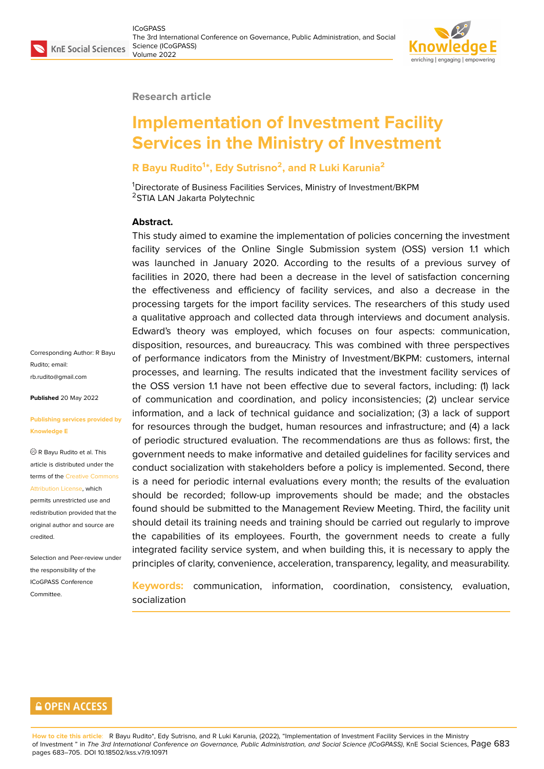

#### **Research article**

# **Implementation of Investment Facility Services in the Ministry of Investment**

### **R Bayu Rudito<sup>1</sup> \*, Edy Sutrisno<sup>2</sup> , and R Luki Karunia<sup>2</sup>**

<sup>1</sup>Directorate of Business Facilities Services, Ministry of Investment/BKPM <sup>2</sup>STIA LAN Jakarta Polytechnic

#### **Abstract.**

This study aimed to examine the implementation of policies concerning the investment facility services of the Online Single Submission system (OSS) version 1.1 which was launched in January 2020. According to the results of a previous survey of facilities in 2020, there had been a decrease in the level of satisfaction concerning the effectiveness and efficiency of facility services, and also a decrease in the processing targets for the import facility services. The researchers of this study used a qualitative approach and collected data through interviews and document analysis. Edward's theory was employed, which focuses on four aspects: communication, disposition, resources, and bureaucracy. This was combined with three perspectives of performance indicators from the Ministry of Investment/BKPM: customers, internal processes, and learning. The results indicated that the investment facility services of the OSS version 1.1 have not been effective due to several factors, including: (1) lack of communication and coordination, and policy inconsistencies; (2) unclear service information, and a lack of technical guidance and socialization; (3) a lack of support for resources through the budget, human resources and infrastructure; and (4) a lack of periodic structured evaluation. The recommendations are thus as follows: first, the government needs to make informative and detailed guidelines for facility services and conduct socialization with stakeholders before a policy is implemented. Second, there is a need for periodic internal evaluations every month; the results of the evaluation should be recorded; follow-up improvements should be made; and the obstacles found should be submitted to the Management Review Meeting. Third, the facility unit should detail its training needs and training should be carried out regularly to improve the capabilities of its employees. Fourth, the government needs to create a fully integrated facility service system, and when building this, it is necessary to apply the principles of clarity, convenience, acceleration, transparency, legality, and measurability.

**Keywords:** communication, information, coordination, consistency, evaluation, socialization

Corresponding Author: R Bayu Rudito; email: rb.rudito@gmail.com

**Published** 20 May 2022

#### **[Publishing services](mailto:rb.rudito@gmail.com) provided by Knowledge E**

R Bayu Rudito et al. This article is distributed under the terms of the Creative Commons Attribution License, which

permits unrestricted use and redistribution provided that the original auth[or and source are](https://creativecommons.org/licenses/by/4.0/) [credited.](https://creativecommons.org/licenses/by/4.0/)

Selection and Peer-review under the responsibility of the ICoGPASS Conference **Committee** 

### **GOPEN ACCESS**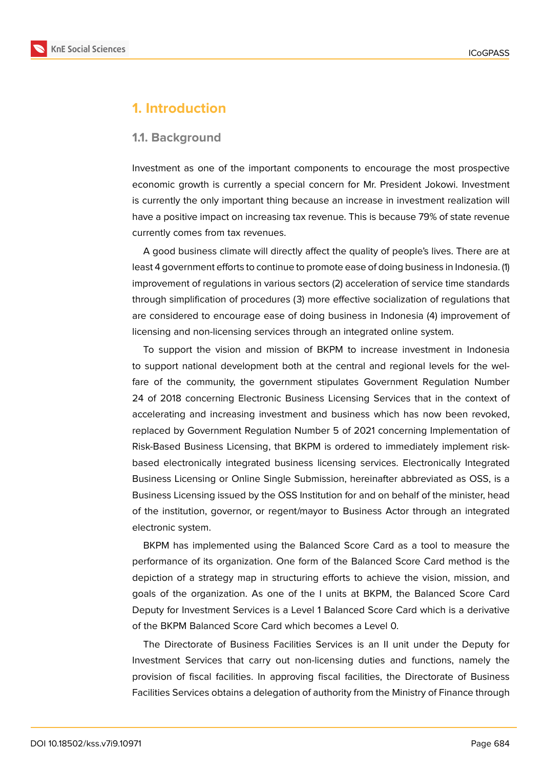

# **1. Introduction**

#### **1.1. Background**

Investment as one of the important components to encourage the most prospective economic growth is currently a special concern for Mr. President Jokowi. Investment is currently the only important thing because an increase in investment realization will have a positive impact on increasing tax revenue. This is because 79% of state revenue currently comes from tax revenues.

A good business climate will directly affect the quality of people's lives. There are at least 4 government efforts to continue to promote ease of doing business in Indonesia. (1) improvement of regulations in various sectors (2) acceleration of service time standards through simplification of procedures (3) more effective socialization of regulations that are considered to encourage ease of doing business in Indonesia (4) improvement of licensing and non-licensing services through an integrated online system.

To support the vision and mission of BKPM to increase investment in Indonesia to support national development both at the central and regional levels for the welfare of the community, the government stipulates Government Regulation Number 24 of 2018 concerning Electronic Business Licensing Services that in the context of accelerating and increasing investment and business which has now been revoked, replaced by Government Regulation Number 5 of 2021 concerning Implementation of Risk-Based Business Licensing, that BKPM is ordered to immediately implement riskbased electronically integrated business licensing services. Electronically Integrated Business Licensing or Online Single Submission, hereinafter abbreviated as OSS, is a Business Licensing issued by the OSS Institution for and on behalf of the minister, head of the institution, governor, or regent/mayor to Business Actor through an integrated electronic system.

BKPM has implemented using the Balanced Score Card as a tool to measure the performance of its organization. One form of the Balanced Score Card method is the depiction of a strategy map in structuring efforts to achieve the vision, mission, and goals of the organization. As one of the I units at BKPM, the Balanced Score Card Deputy for Investment Services is a Level 1 Balanced Score Card which is a derivative of the BKPM Balanced Score Card which becomes a Level 0.

The Directorate of Business Facilities Services is an II unit under the Deputy for Investment Services that carry out non-licensing duties and functions, namely the provision of fiscal facilities. In approving fiscal facilities, the Directorate of Business Facilities Services obtains a delegation of authority from the Ministry of Finance through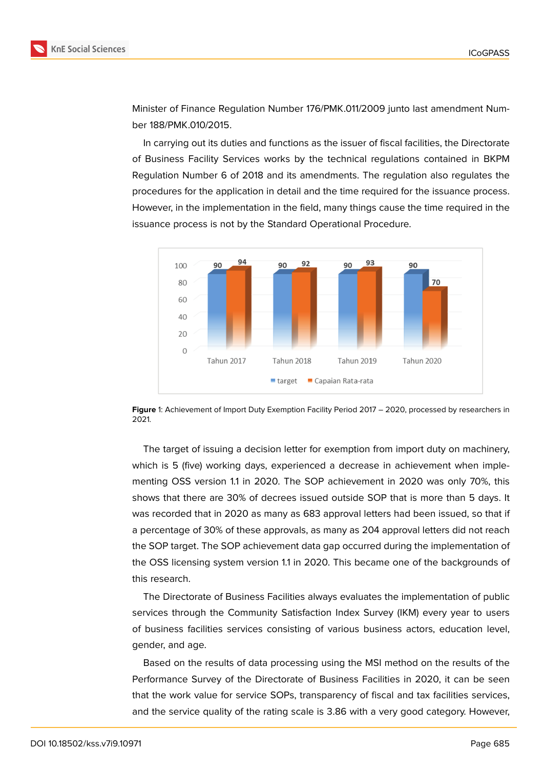

Minister of Finance Regulation Number 176/PMK.011/2009 junto last amendment Number 188/PMK.010/2015.

In carrying out its duties and functions as the issuer of fiscal facilities, the Directorate of Business Facility Services works by the technical regulations contained in BKPM Regulation Number 6 of 2018 and its amendments. The regulation also regulates the procedures for the application in detail and the time required for the issuance process. However, in the implementation in the field, many things cause the time required in the issuance process is not by the Standard Operational Procedure.



**Figure** 1: Achievement of Import Duty Exemption Facility Period 2017 – 2020, processed by researchers in 2021.

The target of issuing a decision letter for exemption from import duty on machinery, which is 5 (five) working days, experienced a decrease in achievement when implementing OSS version 1.1 in 2020. The SOP achievement in 2020 was only 70%, this shows that there are 30% of decrees issued outside SOP that is more than 5 days. It was recorded that in 2020 as many as 683 approval letters had been issued, so that if a percentage of 30% of these approvals, as many as 204 approval letters did not reach the SOP target. The SOP achievement data gap occurred during the implementation of the OSS licensing system version 1.1 in 2020. This became one of the backgrounds of this research.

The Directorate of Business Facilities always evaluates the implementation of public services through the Community Satisfaction Index Survey (IKM) every year to users of business facilities services consisting of various business actors, education level, gender, and age.

Based on the results of data processing using the MSI method on the results of the Performance Survey of the Directorate of Business Facilities in 2020, it can be seen that the work value for service SOPs, transparency of fiscal and tax facilities services, and the service quality of the rating scale is 3.86 with a very good category. However,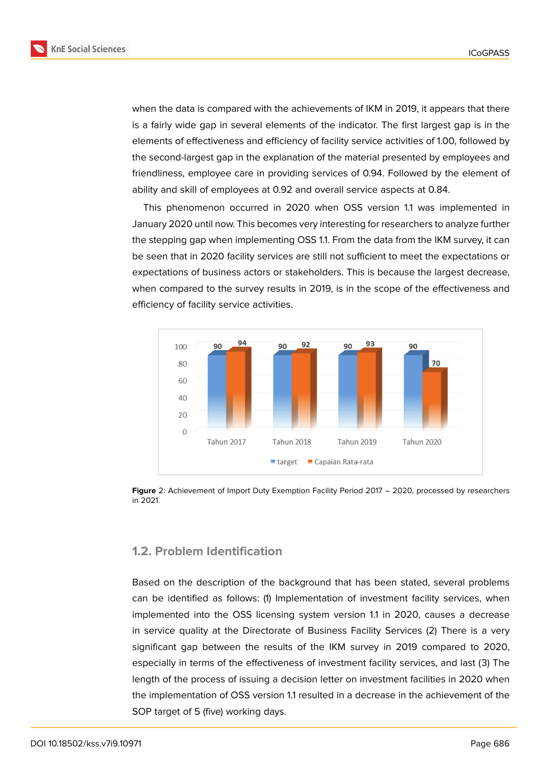

when the data is compared with the achievements of IKM in 2019, it appears that there is a fairly wide gap in several elements of the indicator. The first largest gap is in the elements of effectiveness and efficiency of facility service activities of 1.00, followed by the second-largest gap in the explanation of the material presented by employees and friendliness, employee care in providing services of 0.94. Followed by the element of ability and skill of employees at 0.92 and overall service aspects at 0.84.

This phenomenon occurred in 2020 when OSS version 1.1 was implemented in January 2020 until now. This becomes very interesting for researchers to analyze further the stepping gap when implementing OSS 1.1. From the data from the IKM survey, it can be seen that in 2020 facility services are still not sufficient to meet the expectations or expectations of business actors or stakeholders. This is because the largest decrease, when compared to the survey results in 2019, is in the scope of the effectiveness and efficiency of facility service activities.



**Figure** 2: Achievement of Import Duty Exemption Facility Period 2017 – 2020, processed by researchers in 2021.

### **1.2. Problem Identification**

Based on the description of the background that has been stated, several problems can be identified as follows: (1) Implementation of investment facility services, when implemented into the OSS licensing system version 1.1 in 2020, causes a decrease in service quality at the Directorate of Business Facility Services (2) There is a very significant gap between the results of the IKM survey in 2019 compared to 2020, especially in terms of the effectiveness of investment facility services, and last (3) The length of the process of issuing a decision letter on investment facilities in 2020 when the implementation of OSS version 1.1 resulted in a decrease in the achievement of the SOP target of 5 (five) working days.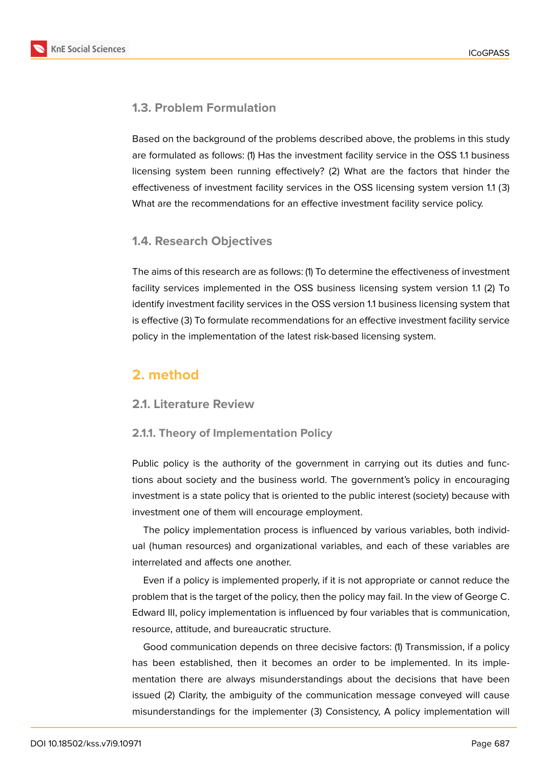

### **1.3. Problem Formulation**

Based on the background of the problems described above, the problems in this study are formulated as follows: (1) Has the investment facility service in the OSS 1.1 business licensing system been running effectively? (2) What are the factors that hinder the effectiveness of investment facility services in the OSS licensing system version 1.1 (3) What are the recommendations for an effective investment facility service policy.

### **1.4. Research Objectives**

The aims of this research are as follows: (1) To determine the effectiveness of investment facility services implemented in the OSS business licensing system version 1.1 (2) To identify investment facility services in the OSS version 1.1 business licensing system that is effective (3) To formulate recommendations for an effective investment facility service policy in the implementation of the latest risk-based licensing system.

# **2. method**

### **2.1. Literature Review**

### **2.1.1. Theory of Implementation Policy**

Public policy is the authority of the government in carrying out its duties and functions about society and the business world. The government's policy in encouraging investment is a state policy that is oriented to the public interest (society) because with investment one of them will encourage employment.

The policy implementation process is influenced by various variables, both individual (human resources) and organizational variables, and each of these variables are interrelated and affects one another.

Even if a policy is implemented properly, if it is not appropriate or cannot reduce the problem that is the target of the policy, then the policy may fail. In the view of George C. Edward III, policy implementation is influenced by four variables that is communication, resource, attitude, and bureaucratic structure.

Good communication depends on three decisive factors: (1) Transmission, if a policy has been established, then it becomes an order to be implemented. In its implementation there are always misunderstandings about the decisions that have been issued (2) Clarity, the ambiguity of the communication message conveyed will cause misunderstandings for the implementer (3) Consistency, A policy implementation will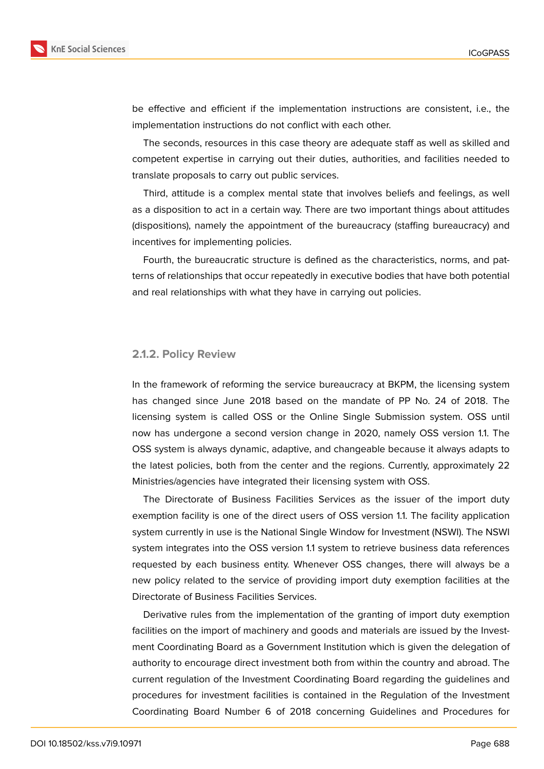

be effective and efficient if the implementation instructions are consistent, i.e., the implementation instructions do not conflict with each other.

The seconds, resources in this case theory are adequate staff as well as skilled and competent expertise in carrying out their duties, authorities, and facilities needed to translate proposals to carry out public services.

Third, attitude is a complex mental state that involves beliefs and feelings, as well as a disposition to act in a certain way. There are two important things about attitudes (dispositions), namely the appointment of the bureaucracy (staffing bureaucracy) and incentives for implementing policies.

Fourth, the bureaucratic structure is defined as the characteristics, norms, and patterns of relationships that occur repeatedly in executive bodies that have both potential and real relationships with what they have in carrying out policies.

#### **2.1.2. Policy Review**

In the framework of reforming the service bureaucracy at BKPM, the licensing system has changed since June 2018 based on the mandate of PP No. 24 of 2018. The licensing system is called OSS or the Online Single Submission system. OSS until now has undergone a second version change in 2020, namely OSS version 1.1. The OSS system is always dynamic, adaptive, and changeable because it always adapts to the latest policies, both from the center and the regions. Currently, approximately 22 Ministries/agencies have integrated their licensing system with OSS.

The Directorate of Business Facilities Services as the issuer of the import duty exemption facility is one of the direct users of OSS version 1.1. The facility application system currently in use is the National Single Window for Investment (NSWI). The NSWI system integrates into the OSS version 1.1 system to retrieve business data references requested by each business entity. Whenever OSS changes, there will always be a new policy related to the service of providing import duty exemption facilities at the Directorate of Business Facilities Services.

Derivative rules from the implementation of the granting of import duty exemption facilities on the import of machinery and goods and materials are issued by the Investment Coordinating Board as a Government Institution which is given the delegation of authority to encourage direct investment both from within the country and abroad. The current regulation of the Investment Coordinating Board regarding the guidelines and procedures for investment facilities is contained in the Regulation of the Investment Coordinating Board Number 6 of 2018 concerning Guidelines and Procedures for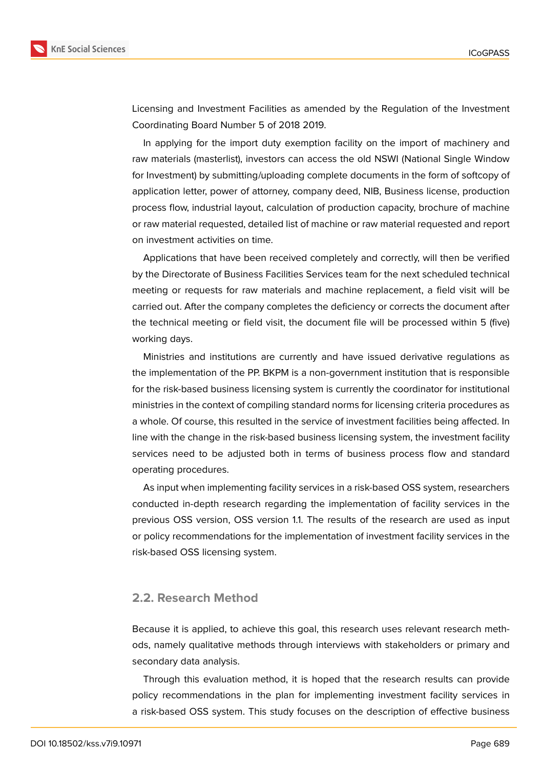

**KnE Social Sciences** 

Licensing and Investment Facilities as amended by the Regulation of the Investment Coordinating Board Number 5 of 2018 2019.

In applying for the import duty exemption facility on the import of machinery and raw materials (masterlist), investors can access the old NSWI (National Single Window for Investment) by submitting/uploading complete documents in the form of softcopy of application letter, power of attorney, company deed, NIB, Business license, production process flow, industrial layout, calculation of production capacity, brochure of machine or raw material requested, detailed list of machine or raw material requested and report on investment activities on time.

Applications that have been received completely and correctly, will then be verified by the Directorate of Business Facilities Services team for the next scheduled technical meeting or requests for raw materials and machine replacement, a field visit will be carried out. After the company completes the deficiency or corrects the document after the technical meeting or field visit, the document file will be processed within 5 (five) working days.

Ministries and institutions are currently and have issued derivative regulations as the implementation of the PP. BKPM is a non-government institution that is responsible for the risk-based business licensing system is currently the coordinator for institutional ministries in the context of compiling standard norms for licensing criteria procedures as a whole. Of course, this resulted in the service of investment facilities being affected. In line with the change in the risk-based business licensing system, the investment facility services need to be adjusted both in terms of business process flow and standard operating procedures.

As input when implementing facility services in a risk-based OSS system, researchers conducted in-depth research regarding the implementation of facility services in the previous OSS version, OSS version 1.1. The results of the research are used as input or policy recommendations for the implementation of investment facility services in the risk-based OSS licensing system.

#### **2.2. Research Method**

Because it is applied, to achieve this goal, this research uses relevant research methods, namely qualitative methods through interviews with stakeholders or primary and secondary data analysis.

Through this evaluation method, it is hoped that the research results can provide policy recommendations in the plan for implementing investment facility services in a risk-based OSS system. This study focuses on the description of effective business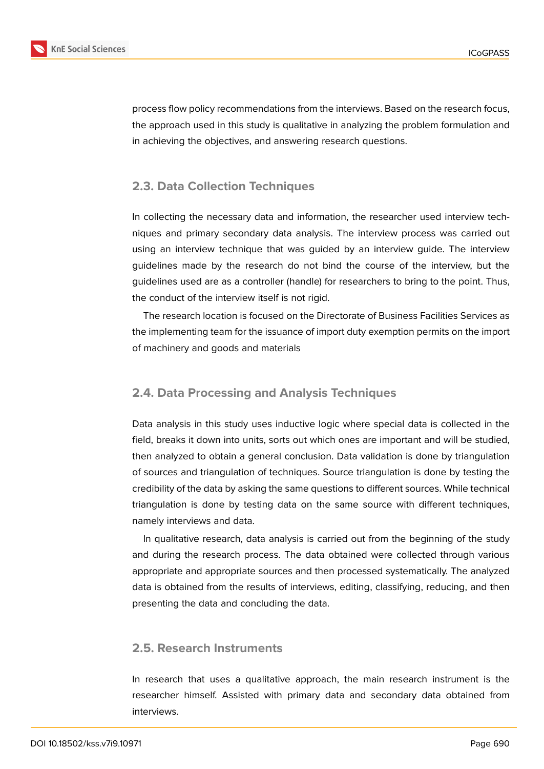

process flow policy recommendations from the interviews. Based on the research focus, the approach used in this study is qualitative in analyzing the problem formulation and in achieving the objectives, and answering research questions.

### **2.3. Data Collection Techniques**

In collecting the necessary data and information, the researcher used interview techniques and primary secondary data analysis. The interview process was carried out using an interview technique that was guided by an interview guide. The interview guidelines made by the research do not bind the course of the interview, but the guidelines used are as a controller (handle) for researchers to bring to the point. Thus, the conduct of the interview itself is not rigid.

The research location is focused on the Directorate of Business Facilities Services as the implementing team for the issuance of import duty exemption permits on the import of machinery and goods and materials

### **2.4. Data Processing and Analysis Techniques**

Data analysis in this study uses inductive logic where special data is collected in the field, breaks it down into units, sorts out which ones are important and will be studied, then analyzed to obtain a general conclusion. Data validation is done by triangulation of sources and triangulation of techniques. Source triangulation is done by testing the credibility of the data by asking the same questions to different sources. While technical triangulation is done by testing data on the same source with different techniques, namely interviews and data.

In qualitative research, data analysis is carried out from the beginning of the study and during the research process. The data obtained were collected through various appropriate and appropriate sources and then processed systematically. The analyzed data is obtained from the results of interviews, editing, classifying, reducing, and then presenting the data and concluding the data.

#### **2.5. Research Instruments**

In research that uses a qualitative approach, the main research instrument is the researcher himself. Assisted with primary data and secondary data obtained from interviews.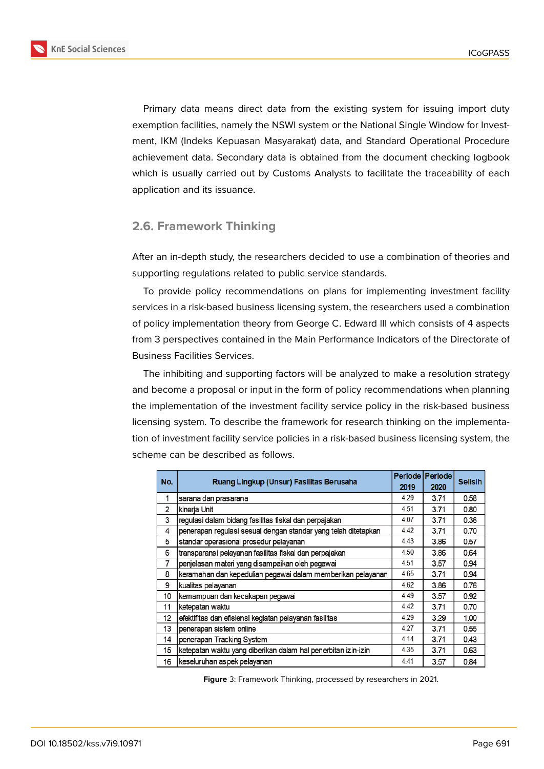

**KnE Social Sciences** 

Primary data means direct data from the existing system for issuing import duty exemption facilities, namely the NSWI system or the National Single Window for Investment, IKM (Indeks Kepuasan Masyarakat) data, and Standard Operational Procedure achievement data. Secondary data is obtained from the document checking logbook which is usually carried out by Customs Analysts to facilitate the traceability of each application and its issuance.

### **2.6. Framework Thinking**

After an in-depth study, the researchers decided to use a combination of theories and supporting regulations related to public service standards.

To provide policy recommendations on plans for implementing investment facility services in a risk-based business licensing system, the researchers used a combination of policy implementation theory from George C. Edward III which consists of 4 aspects from 3 perspectives contained in the Main Performance Indicators of the Directorate of Business Facilities Services.

The inhibiting and supporting factors will be analyzed to make a resolution strategy and become a proposal or input in the form of policy recommendations when planning the implementation of the investment facility service policy in the risk-based business licensing system. To describe the framework for research thinking on the implementation of investment facility service policies in a risk-based business licensing system, the scheme can be described as follows.

| No.            | Ruang Lingkup (Unsur) Fasilitas Berusaha                       | 2019 | Periode   Periode  <br>2020 | <b>Selisih</b> |
|----------------|----------------------------------------------------------------|------|-----------------------------|----------------|
| 1              | sarana dan prasarana                                           | 4.29 | 3.71                        | 0.58           |
| $\overline{2}$ | kinerja Unit                                                   | 4.51 | 3.71                        | 0.80           |
| 3              | regulasi dalam bidang fasilitas fiskal dan perpajakan          | 4.07 | 3.71                        | 0.36           |
| 4              | penerapan regulasi sesuai dengan standar yang telah ditetapkan | 4.42 | 3.71                        | 0.70           |
| 5              | standar operasional prosedur pelayanan                         | 4.43 | 3.86                        | 0.57           |
| 6              | transparansi pelayanan fasilitas fiskal dan perpajakan         | 4.50 | 3.86                        | 0.64           |
| 7              | penjelasan materi yang disampaikan oleh pegawai                | 4.51 | 3.57                        | 0.94           |
| 8              | keramahan dan kepedulian pegawai dalam memberikan pelayanan    | 4.65 | 3.71                        | 0.94           |
| 9              | kualitas pelayanan                                             | 4.62 | 3.86                        | 0.76           |
| 10             | kemampuan dan kecakapan pegawai                                | 4.49 | 3.57                        | 0.92           |
| 11             | ketepatan waktu                                                | 4.42 | 3.71                        | 0.70           |
| 12             | efektifitas dan efisiensi kegiatan pelayanan fasilitas         | 4.29 | 3.29                        | 1.00           |
| 13             | penerapan sistem online                                        | 4.27 | 3.71                        | 0.55           |
| 14             | penerapan Tracking System                                      | 4.14 | 3.71                        | 0.43           |
| 15             | ketepatan waktu yang diberikan dalam hal penerbitan izin-izin  | 4.35 | 3.71                        | 0.63           |
| 16             | keseluruhan aspek pelayanan                                    | 4.41 | 3.57                        | 0.84           |

**Figure** 3: Framework Thinking, processed by researchers in 2021.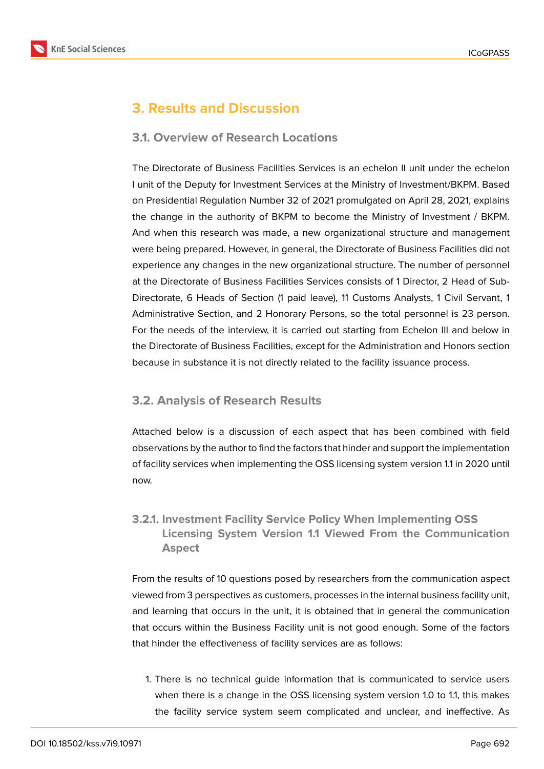

# **3. Results and Discussion**

### **3.1. Overview of Research Locations**

The Directorate of Business Facilities Services is an echelon II unit under the echelon I unit of the Deputy for Investment Services at the Ministry of Investment/BKPM. Based on Presidential Regulation Number 32 of 2021 promulgated on April 28, 2021, explains the change in the authority of BKPM to become the Ministry of Investment / BKPM. And when this research was made, a new organizational structure and management were being prepared. However, in general, the Directorate of Business Facilities did not experience any changes in the new organizational structure. The number of personnel at the Directorate of Business Facilities Services consists of 1 Director, 2 Head of Sub-Directorate, 6 Heads of Section (1 paid leave), 11 Customs Analysts, 1 Civil Servant, 1 Administrative Section, and 2 Honorary Persons, so the total personnel is 23 person. For the needs of the interview, it is carried out starting from Echelon III and below in the Directorate of Business Facilities, except for the Administration and Honors section because in substance it is not directly related to the facility issuance process.

### **3.2. Analysis of Research Results**

Attached below is a discussion of each aspect that has been combined with field observations by the author to find the factors that hinder and support the implementation of facility services when implementing the OSS licensing system version 1.1 in 2020 until now.

### **3.2.1. Investment Facility Service Policy When Implementing OSS Licensing System Version 1.1 Viewed From the Communication Aspect**

From the results of 10 questions posed by researchers from the communication aspect viewed from 3 perspectives as customers, processes in the internal business facility unit, and learning that occurs in the unit, it is obtained that in general the communication that occurs within the Business Facility unit is not good enough. Some of the factors that hinder the effectiveness of facility services are as follows:

1. There is no technical guide information that is communicated to service users when there is a change in the OSS licensing system version 1.0 to 1.1, this makes the facility service system seem complicated and unclear, and ineffective. As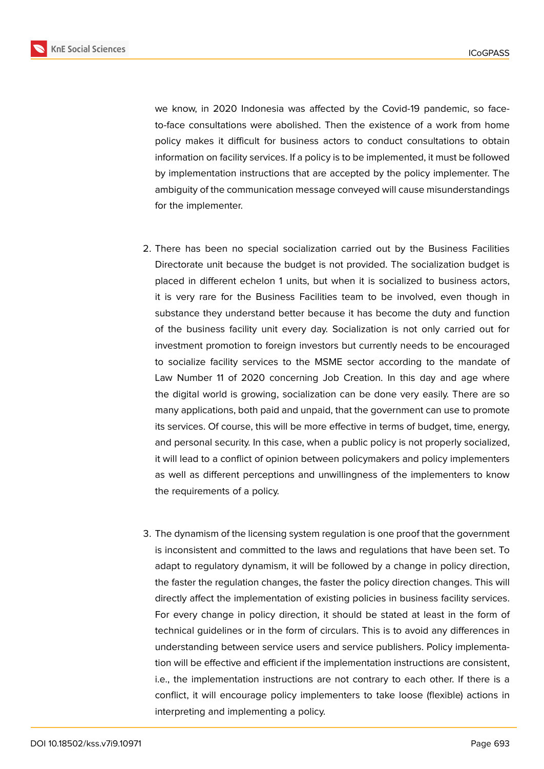

we know, in 2020 Indonesia was affected by the Covid-19 pandemic, so faceto-face consultations were abolished. Then the existence of a work from home policy makes it difficult for business actors to conduct consultations to obtain information on facility services. If a policy is to be implemented, it must be followed by implementation instructions that are accepted by the policy implementer. The ambiguity of the communication message conveyed will cause misunderstandings for the implementer.

- 2. There has been no special socialization carried out by the Business Facilities Directorate unit because the budget is not provided. The socialization budget is placed in different echelon 1 units, but when it is socialized to business actors, it is very rare for the Business Facilities team to be involved, even though in substance they understand better because it has become the duty and function of the business facility unit every day. Socialization is not only carried out for investment promotion to foreign investors but currently needs to be encouraged to socialize facility services to the MSME sector according to the mandate of Law Number 11 of 2020 concerning Job Creation. In this day and age where the digital world is growing, socialization can be done very easily. There are so many applications, both paid and unpaid, that the government can use to promote its services. Of course, this will be more effective in terms of budget, time, energy, and personal security. In this case, when a public policy is not properly socialized, it will lead to a conflict of opinion between policymakers and policy implementers as well as different perceptions and unwillingness of the implementers to know the requirements of a policy.
- 3. The dynamism of the licensing system regulation is one proof that the government is inconsistent and committed to the laws and regulations that have been set. To adapt to regulatory dynamism, it will be followed by a change in policy direction, the faster the regulation changes, the faster the policy direction changes. This will directly affect the implementation of existing policies in business facility services. For every change in policy direction, it should be stated at least in the form of technical guidelines or in the form of circulars. This is to avoid any differences in understanding between service users and service publishers. Policy implementation will be effective and efficient if the implementation instructions are consistent, i.e., the implementation instructions are not contrary to each other. If there is a conflict, it will encourage policy implementers to take loose (flexible) actions in interpreting and implementing a policy.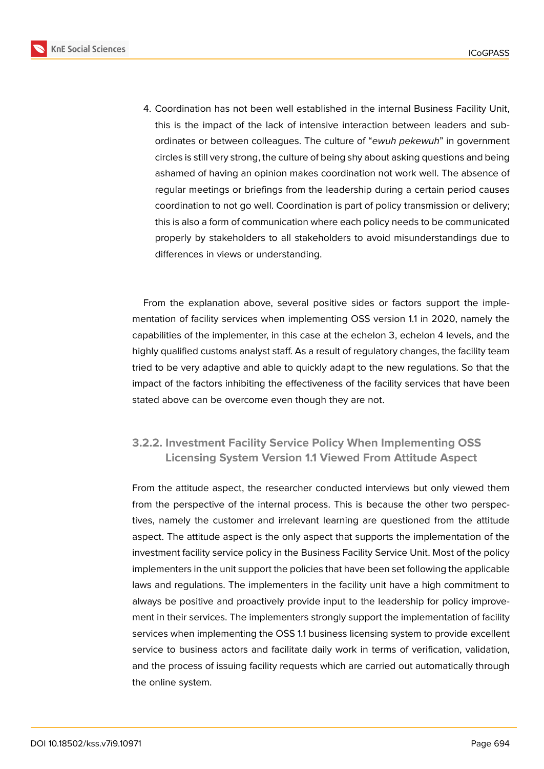**KnE Social Sciences** 



4. Coordination has not been well established in the internal Business Facility Unit, this is the impact of the lack of intensive interaction between leaders and subordinates or between colleagues. The culture of "*ewuh pekewuh*" in government circles is still very strong, the culture of being shy about asking questions and being ashamed of having an opinion makes coordination not work well. The absence of regular meetings or briefings from the leadership during a certain period causes coordination to not go well. Coordination is part of policy transmission or delivery; this is also a form of communication where each policy needs to be communicated properly by stakeholders to all stakeholders to avoid misunderstandings due to differences in views or understanding.

From the explanation above, several positive sides or factors support the implementation of facility services when implementing OSS version 1.1 in 2020, namely the capabilities of the implementer, in this case at the echelon 3, echelon 4 levels, and the highly qualified customs analyst staff. As a result of regulatory changes, the facility team tried to be very adaptive and able to quickly adapt to the new regulations. So that the impact of the factors inhibiting the effectiveness of the facility services that have been stated above can be overcome even though they are not.

### **3.2.2. Investment Facility Service Policy When Implementing OSS Licensing System Version 1.1 Viewed From Attitude Aspect**

From the attitude aspect, the researcher conducted interviews but only viewed them from the perspective of the internal process. This is because the other two perspectives, namely the customer and irrelevant learning are questioned from the attitude aspect. The attitude aspect is the only aspect that supports the implementation of the investment facility service policy in the Business Facility Service Unit. Most of the policy implementers in the unit support the policies that have been set following the applicable laws and regulations. The implementers in the facility unit have a high commitment to always be positive and proactively provide input to the leadership for policy improvement in their services. The implementers strongly support the implementation of facility services when implementing the OSS 1.1 business licensing system to provide excellent service to business actors and facilitate daily work in terms of verification, validation, and the process of issuing facility requests which are carried out automatically through the online system.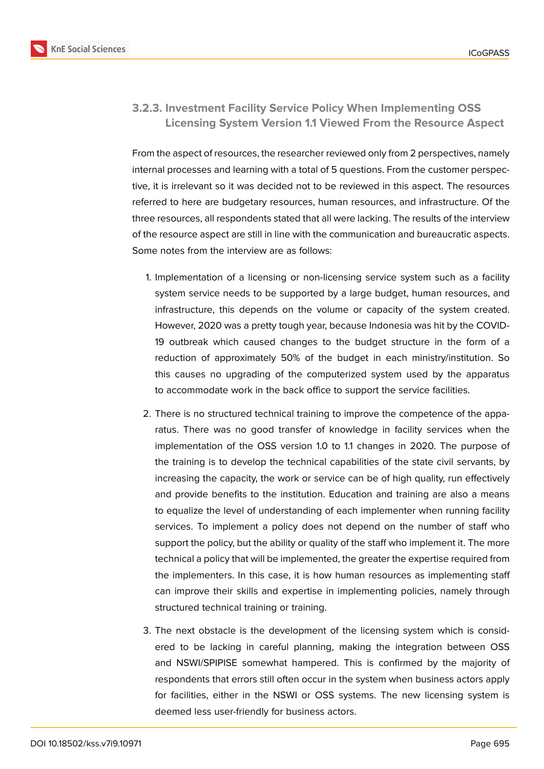

### **3.2.3. Investment Facility Service Policy When Implementing OSS Licensing System Version 1.1 Viewed From the Resource Aspect**

From the aspect of resources, the researcher reviewed only from 2 perspectives, namely internal processes and learning with a total of 5 questions. From the customer perspective, it is irrelevant so it was decided not to be reviewed in this aspect. The resources referred to here are budgetary resources, human resources, and infrastructure. Of the three resources, all respondents stated that all were lacking. The results of the interview of the resource aspect are still in line with the communication and bureaucratic aspects. Some notes from the interview are as follows:

- 1. Implementation of a licensing or non-licensing service system such as a facility system service needs to be supported by a large budget, human resources, and infrastructure, this depends on the volume or capacity of the system created. However, 2020 was a pretty tough year, because Indonesia was hit by the COVID-19 outbreak which caused changes to the budget structure in the form of a reduction of approximately 50% of the budget in each ministry/institution. So this causes no upgrading of the computerized system used by the apparatus to accommodate work in the back office to support the service facilities.
- 2. There is no structured technical training to improve the competence of the apparatus. There was no good transfer of knowledge in facility services when the implementation of the OSS version 1.0 to 1.1 changes in 2020. The purpose of the training is to develop the technical capabilities of the state civil servants, by increasing the capacity, the work or service can be of high quality, run effectively and provide benefits to the institution. Education and training are also a means to equalize the level of understanding of each implementer when running facility services. To implement a policy does not depend on the number of staff who support the policy, but the ability or quality of the staff who implement it. The more technical a policy that will be implemented, the greater the expertise required from the implementers. In this case, it is how human resources as implementing staff can improve their skills and expertise in implementing policies, namely through structured technical training or training.
- 3. The next obstacle is the development of the licensing system which is considered to be lacking in careful planning, making the integration between OSS and NSWI/SPIPISE somewhat hampered. This is confirmed by the majority of respondents that errors still often occur in the system when business actors apply for facilities, either in the NSWI or OSS systems. The new licensing system is deemed less user-friendly for business actors.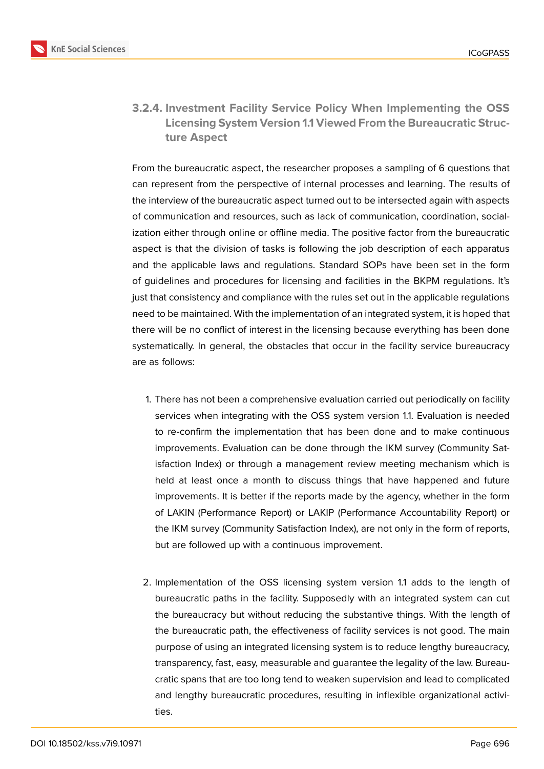

**3.2.4. Investment Facility Service Policy When Implementing the OSS Licensing System Version 1.1 Viewed From the Bureaucratic Structure Aspect**

From the bureaucratic aspect, the researcher proposes a sampling of 6 questions that can represent from the perspective of internal processes and learning. The results of the interview of the bureaucratic aspect turned out to be intersected again with aspects of communication and resources, such as lack of communication, coordination, socialization either through online or offline media. The positive factor from the bureaucratic aspect is that the division of tasks is following the job description of each apparatus and the applicable laws and regulations. Standard SOPs have been set in the form of guidelines and procedures for licensing and facilities in the BKPM regulations. It's just that consistency and compliance with the rules set out in the applicable regulations need to be maintained. With the implementation of an integrated system, it is hoped that there will be no conflict of interest in the licensing because everything has been done systematically. In general, the obstacles that occur in the facility service bureaucracy are as follows:

- 1. There has not been a comprehensive evaluation carried out periodically on facility services when integrating with the OSS system version 1.1. Evaluation is needed to re-confirm the implementation that has been done and to make continuous improvements. Evaluation can be done through the IKM survey (Community Satisfaction Index) or through a management review meeting mechanism which is held at least once a month to discuss things that have happened and future improvements. It is better if the reports made by the agency, whether in the form of LAKIN (Performance Report) or LAKIP (Performance Accountability Report) or the IKM survey (Community Satisfaction Index), are not only in the form of reports, but are followed up with a continuous improvement.
- 2. Implementation of the OSS licensing system version 1.1 adds to the length of bureaucratic paths in the facility. Supposedly with an integrated system can cut the bureaucracy but without reducing the substantive things. With the length of the bureaucratic path, the effectiveness of facility services is not good. The main purpose of using an integrated licensing system is to reduce lengthy bureaucracy, transparency, fast, easy, measurable and guarantee the legality of the law. Bureaucratic spans that are too long tend to weaken supervision and lead to complicated and lengthy bureaucratic procedures, resulting in inflexible organizational activities.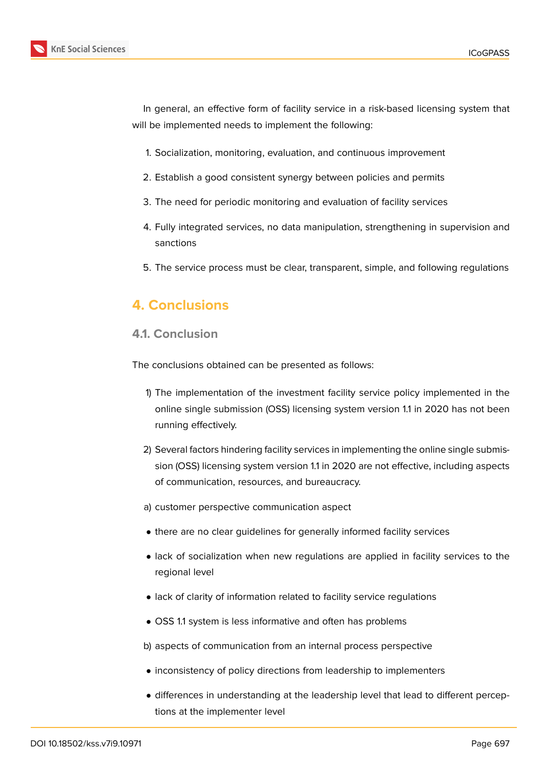



In general, an effective form of facility service in a risk-based licensing system that will be implemented needs to implement the following:

- 1. Socialization, monitoring, evaluation, and continuous improvement
- 2. Establish a good consistent synergy between policies and permits
- 3. The need for periodic monitoring and evaluation of facility services
- 4. Fully integrated services, no data manipulation, strengthening in supervision and sanctions
- 5. The service process must be clear, transparent, simple, and following regulations

# **4. Conclusions**

#### **4.1. Conclusion**

The conclusions obtained can be presented as follows:

- 1) The implementation of the investment facility service policy implemented in the online single submission (OSS) licensing system version 1.1 in 2020 has not been running effectively.
- 2) Several factors hindering facility services in implementing the online single submission (OSS) licensing system version 1.1 in 2020 are not effective, including aspects of communication, resources, and bureaucracy.
- a) customer perspective communication aspect
- there are no clear guidelines for generally informed facility services
- lack of socialization when new regulations are applied in facility services to the regional level
- lack of clarity of information related to facility service regulations
- OSS 1.1 system is less informative and often has problems

b) aspects of communication from an internal process perspective

- inconsistency of policy directions from leadership to implementers
- differences in understanding at the leadership level that lead to different perceptions at the implementer level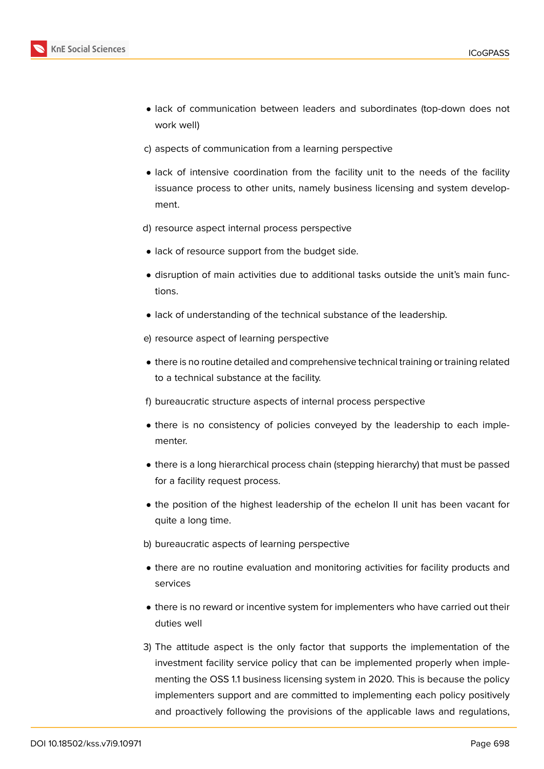

- lack of communication between leaders and subordinates (top-down does not work well)
- c) aspects of communication from a learning perspective
- lack of intensive coordination from the facility unit to the needs of the facility issuance process to other units, namely business licensing and system development.
- d) resource aspect internal process perspective
- lack of resource support from the budget side.
- disruption of main activities due to additional tasks outside the unit's main functions.
- lack of understanding of the technical substance of the leadership.
- e) resource aspect of learning perspective
- there is no routine detailed and comprehensive technical training or training related to a technical substance at the facility.
- f) bureaucratic structure aspects of internal process perspective
- there is no consistency of policies conveyed by the leadership to each implementer.
- there is a long hierarchical process chain (stepping hierarchy) that must be passed for a facility request process.
- the position of the highest leadership of the echelon II unit has been vacant for quite a long time.
- b) bureaucratic aspects of learning perspective
- there are no routine evaluation and monitoring activities for facility products and services
- there is no reward or incentive system for implementers who have carried out their duties well
- 3) The attitude aspect is the only factor that supports the implementation of the investment facility service policy that can be implemented properly when implementing the OSS 1.1 business licensing system in 2020. This is because the policy implementers support and are committed to implementing each policy positively and proactively following the provisions of the applicable laws and regulations,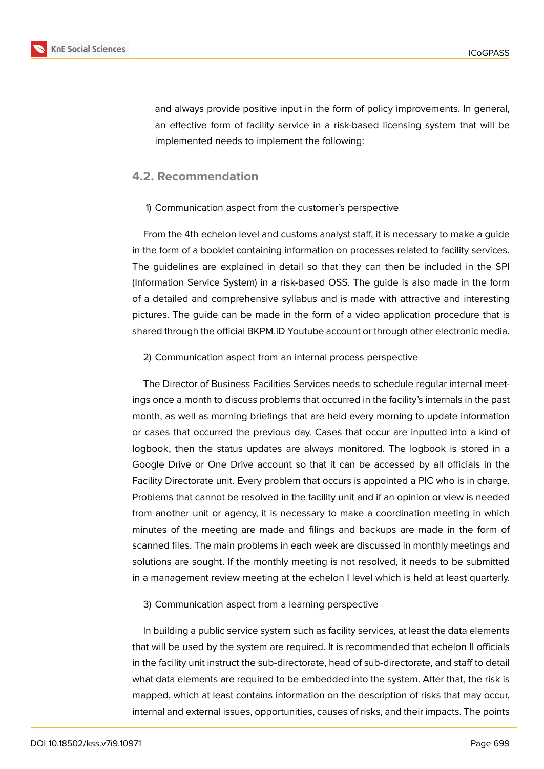

and always provide positive input in the form of policy improvements. In general, an effective form of facility service in a risk-based licensing system that will be implemented needs to implement the following:

#### **4.2. Recommendation**

#### 1) Communication aspect from the customer's perspective

From the 4th echelon level and customs analyst staff, it is necessary to make a guide in the form of a booklet containing information on processes related to facility services. The guidelines are explained in detail so that they can then be included in the SPI (Information Service System) in a risk-based OSS. The guide is also made in the form of a detailed and comprehensive syllabus and is made with attractive and interesting pictures. The guide can be made in the form of a video application procedure that is shared through the official BKPM.ID Youtube account or through other electronic media.

#### 2) Communication aspect from an internal process perspective

The Director of Business Facilities Services needs to schedule regular internal meetings once a month to discuss problems that occurred in the facility's internals in the past month, as well as morning briefings that are held every morning to update information or cases that occurred the previous day. Cases that occur are inputted into a kind of logbook, then the status updates are always monitored. The logbook is stored in a Google Drive or One Drive account so that it can be accessed by all officials in the Facility Directorate unit. Every problem that occurs is appointed a PIC who is in charge. Problems that cannot be resolved in the facility unit and if an opinion or view is needed from another unit or agency, it is necessary to make a coordination meeting in which minutes of the meeting are made and filings and backups are made in the form of scanned files. The main problems in each week are discussed in monthly meetings and solutions are sought. If the monthly meeting is not resolved, it needs to be submitted in a management review meeting at the echelon I level which is held at least quarterly.

#### 3) Communication aspect from a learning perspective

In building a public service system such as facility services, at least the data elements that will be used by the system are required. It is recommended that echelon II officials in the facility unit instruct the sub-directorate, head of sub-directorate, and staff to detail what data elements are required to be embedded into the system. After that, the risk is mapped, which at least contains information on the description of risks that may occur, internal and external issues, opportunities, causes of risks, and their impacts. The points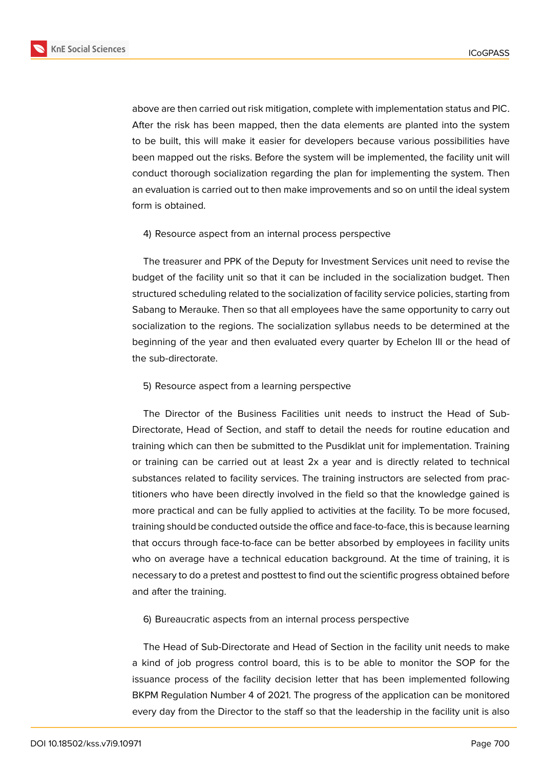

above are then carried out risk mitigation, complete with implementation status and PIC. After the risk has been mapped, then the data elements are planted into the system to be built, this will make it easier for developers because various possibilities have been mapped out the risks. Before the system will be implemented, the facility unit will conduct thorough socialization regarding the plan for implementing the system. Then an evaluation is carried out to then make improvements and so on until the ideal system form is obtained.

#### 4) Resource aspect from an internal process perspective

The treasurer and PPK of the Deputy for Investment Services unit need to revise the budget of the facility unit so that it can be included in the socialization budget. Then structured scheduling related to the socialization of facility service policies, starting from Sabang to Merauke. Then so that all employees have the same opportunity to carry out socialization to the regions. The socialization syllabus needs to be determined at the beginning of the year and then evaluated every quarter by Echelon III or the head of the sub-directorate.

5) Resource aspect from a learning perspective

The Director of the Business Facilities unit needs to instruct the Head of Sub-Directorate, Head of Section, and staff to detail the needs for routine education and training which can then be submitted to the Pusdiklat unit for implementation. Training or training can be carried out at least 2x a year and is directly related to technical substances related to facility services. The training instructors are selected from practitioners who have been directly involved in the field so that the knowledge gained is more practical and can be fully applied to activities at the facility. To be more focused, training should be conducted outside the office and face-to-face, this is because learning that occurs through face-to-face can be better absorbed by employees in facility units who on average have a technical education background. At the time of training, it is necessary to do a pretest and posttest to find out the scientific progress obtained before and after the training.

6) Bureaucratic aspects from an internal process perspective

The Head of Sub-Directorate and Head of Section in the facility unit needs to make a kind of job progress control board, this is to be able to monitor the SOP for the issuance process of the facility decision letter that has been implemented following BKPM Regulation Number 4 of 2021. The progress of the application can be monitored every day from the Director to the staff so that the leadership in the facility unit is also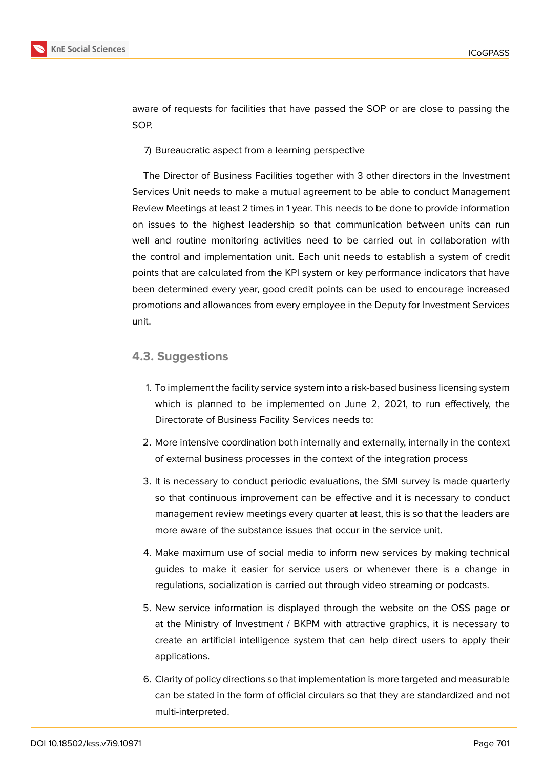

aware of requests for facilities that have passed the SOP or are close to passing the SOP.

7) Bureaucratic aspect from a learning perspective

The Director of Business Facilities together with 3 other directors in the Investment Services Unit needs to make a mutual agreement to be able to conduct Management Review Meetings at least 2 times in 1 year. This needs to be done to provide information on issues to the highest leadership so that communication between units can run well and routine monitoring activities need to be carried out in collaboration with the control and implementation unit. Each unit needs to establish a system of credit points that are calculated from the KPI system or key performance indicators that have been determined every year, good credit points can be used to encourage increased promotions and allowances from every employee in the Deputy for Investment Services unit.

#### **4.3. Suggestions**

- 1. To implement the facility service system into a risk-based business licensing system which is planned to be implemented on June 2, 2021, to run effectively, the Directorate of Business Facility Services needs to:
- 2. More intensive coordination both internally and externally, internally in the context of external business processes in the context of the integration process
- 3. It is necessary to conduct periodic evaluations, the SMI survey is made quarterly so that continuous improvement can be effective and it is necessary to conduct management review meetings every quarter at least, this is so that the leaders are more aware of the substance issues that occur in the service unit.
- 4. Make maximum use of social media to inform new services by making technical guides to make it easier for service users or whenever there is a change in regulations, socialization is carried out through video streaming or podcasts.
- 5. New service information is displayed through the website on the OSS page or at the Ministry of Investment / BKPM with attractive graphics, it is necessary to create an artificial intelligence system that can help direct users to apply their applications.
- 6. Clarity of policy directions so that implementation is more targeted and measurable can be stated in the form of official circulars so that they are standardized and not multi-interpreted.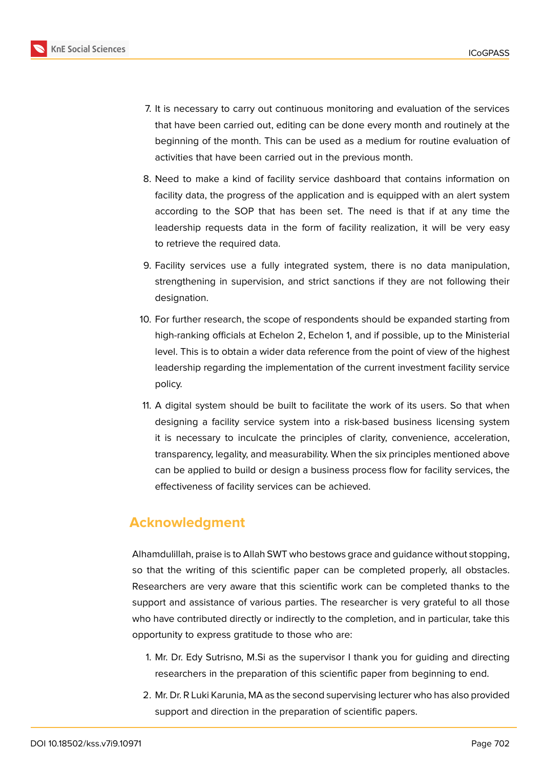

- 7. It is necessary to carry out continuous monitoring and evaluation of the services that have been carried out, editing can be done every month and routinely at the beginning of the month. This can be used as a medium for routine evaluation of activities that have been carried out in the previous month.
- 8. Need to make a kind of facility service dashboard that contains information on facility data, the progress of the application and is equipped with an alert system according to the SOP that has been set. The need is that if at any time the leadership requests data in the form of facility realization, it will be very easy to retrieve the required data.
- 9. Facility services use a fully integrated system, there is no data manipulation, strengthening in supervision, and strict sanctions if they are not following their designation.
- 10. For further research, the scope of respondents should be expanded starting from high-ranking officials at Echelon 2, Echelon 1, and if possible, up to the Ministerial level. This is to obtain a wider data reference from the point of view of the highest leadership regarding the implementation of the current investment facility service policy.
- 11. A digital system should be built to facilitate the work of its users. So that when designing a facility service system into a risk-based business licensing system it is necessary to inculcate the principles of clarity, convenience, acceleration, transparency, legality, and measurability. When the six principles mentioned above can be applied to build or design a business process flow for facility services, the effectiveness of facility services can be achieved.

### **Acknowledgment**

Alhamdulillah, praise is to Allah SWT who bestows grace and guidance without stopping, so that the writing of this scientific paper can be completed properly, all obstacles. Researchers are very aware that this scientific work can be completed thanks to the support and assistance of various parties. The researcher is very grateful to all those who have contributed directly or indirectly to the completion, and in particular, take this opportunity to express gratitude to those who are:

- 1. Mr. Dr. Edy Sutrisno, M.Si as the supervisor I thank you for guiding and directing researchers in the preparation of this scientific paper from beginning to end.
- 2. Mr. Dr. R Luki Karunia, MA as the second supervising lecturer who has also provided support and direction in the preparation of scientific papers.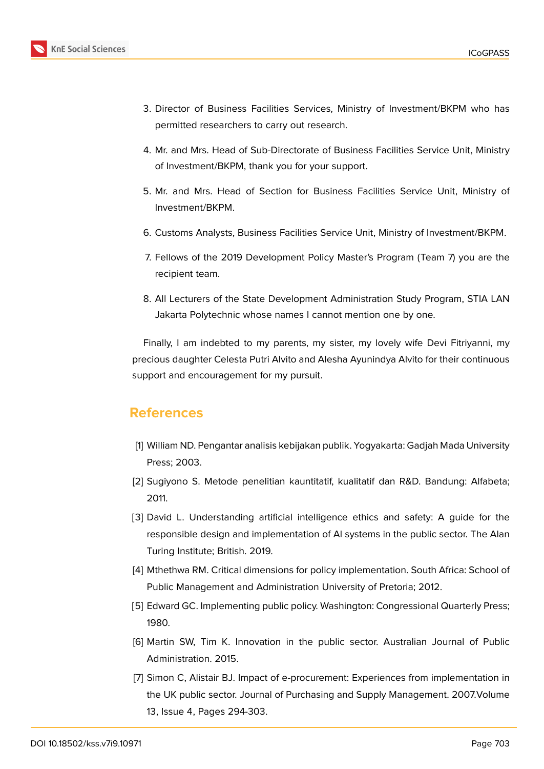

- 3. Director of Business Facilities Services, Ministry of Investment/BKPM who has permitted researchers to carry out research.
- 4. Mr. and Mrs. Head of Sub-Directorate of Business Facilities Service Unit, Ministry of Investment/BKPM, thank you for your support.
- 5. Mr. and Mrs. Head of Section for Business Facilities Service Unit, Ministry of Investment/BKPM.
- 6. Customs Analysts, Business Facilities Service Unit, Ministry of Investment/BKPM.
- 7. Fellows of the 2019 Development Policy Master's Program (Team 7) you are the recipient team.
- 8. All Lecturers of the State Development Administration Study Program, STIA LAN Jakarta Polytechnic whose names I cannot mention one by one.

Finally, I am indebted to my parents, my sister, my lovely wife Devi Fitriyanni, my precious daughter Celesta Putri Alvito and Alesha Ayunindya Alvito for their continuous support and encouragement for my pursuit.

# **References**

- [1] William ND. Pengantar analisis kebijakan publik. Yogyakarta: Gadjah Mada University Press; 2003.
- [2] Sugiyono S. Metode penelitian kauntitatif, kualitatif dan R&D. Bandung: Alfabeta; 2011.
- [3] David L. Understanding artificial intelligence ethics and safety: A guide for the responsible design and implementation of AI systems in the public sector. The Alan Turing Institute; British. 2019.
- [4] Mthethwa RM. Critical dimensions for policy implementation. South Africa: School of Public Management and Administration University of Pretoria; 2012.
- [5] Edward GC. Implementing public policy. Washington: Congressional Quarterly Press; 1980.
- [6] Martin SW, Tim K. Innovation in the public sector. Australian Journal of Public Administration. 2015.
- [7] Simon C, Alistair BJ. Impact of e-procurement: Experiences from implementation in the UK public sector. Journal of Purchasing and Supply Management. 2007.Volume 13, Issue 4, Pages 294-303.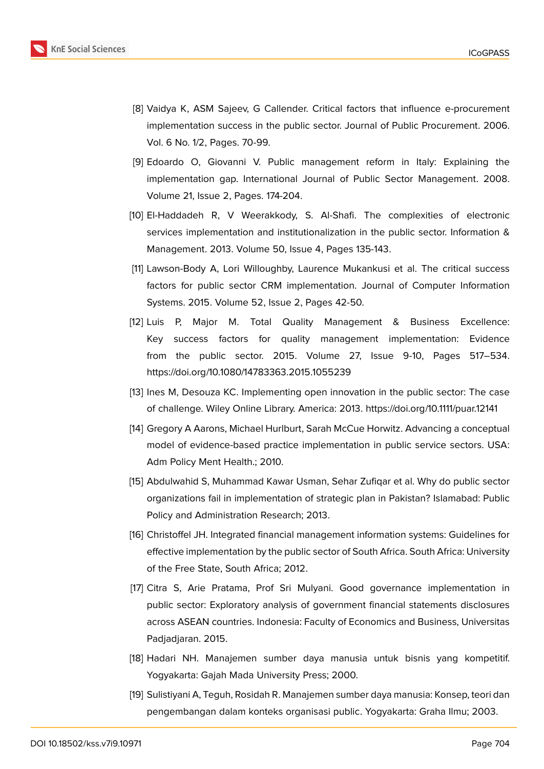

- [8] Vaidya K, ASM Sajeev, G Callender. Critical factors that influence e-procurement implementation success in the public sector. Journal of Public Procurement. 2006. Vol. 6 No. 1/2, Pages. 70-99.
- [9] Edoardo O, Giovanni V. Public management reform in Italy: Explaining the implementation gap. International Journal of Public Sector Management. 2008. Volume 21, Issue 2, Pages. 174-204.
- [10] El-Haddadeh R, V Weerakkody, S. Al-Shafi. The complexities of electronic services implementation and institutionalization in the public sector. Information & Management. 2013. Volume 50, Issue 4, Pages 135-143.
- [11] Lawson-Body A, Lori Willoughby, Laurence Mukankusi et al. The critical success factors for public sector CRM implementation. Journal of Computer Information Systems. 2015. Volume 52, Issue 2, Pages 42-50.
- [12] Luis P, Major M. Total Quality Management & Business Excellence: Key success factors for quality management implementation: Evidence from the public sector. 2015. Volume 27, Issue 9-10, Pages 517–534. https://doi.org/10.1080/14783363.2015.1055239
- [13] Ines M, Desouza KC. Implementing open innovation in the public sector: The case of challenge. Wiley Online Library. America: 2013. https://doi.org/10.1111/puar.12141
- [14] Gregory A Aarons, Michael Hurlburt, Sarah McCue Horwitz. Advancing a conceptual model of evidence-based practice implementation in public service sectors. USA: Adm Policy Ment Health.; 2010.
- [15] Abdulwahid S, Muhammad Kawar Usman, Sehar Zufiqar et al. Why do public sector organizations fail in implementation of strategic plan in Pakistan? Islamabad: Public Policy and Administration Research; 2013.
- [16] Christoffel JH. Integrated financial management information systems: Guidelines for effective implementation by the public sector of South Africa. South Africa: University of the Free State, South Africa; 2012.
- [17] Citra S, Arie Pratama, Prof Sri Mulyani. Good governance implementation in public sector: Exploratory analysis of government financial statements disclosures across ASEAN countries. Indonesia: Faculty of Economics and Business, Universitas Padjadjaran. 2015.
- [18] Hadari NH. Manajemen sumber daya manusia untuk bisnis yang kompetitif. Yogyakarta: Gajah Mada University Press; 2000.
- [19] Sulistiyani A, Teguh, Rosidah R. Manajemen sumber daya manusia: Konsep, teori dan pengembangan dalam konteks organisasi public. Yogyakarta: Graha Ilmu; 2003.